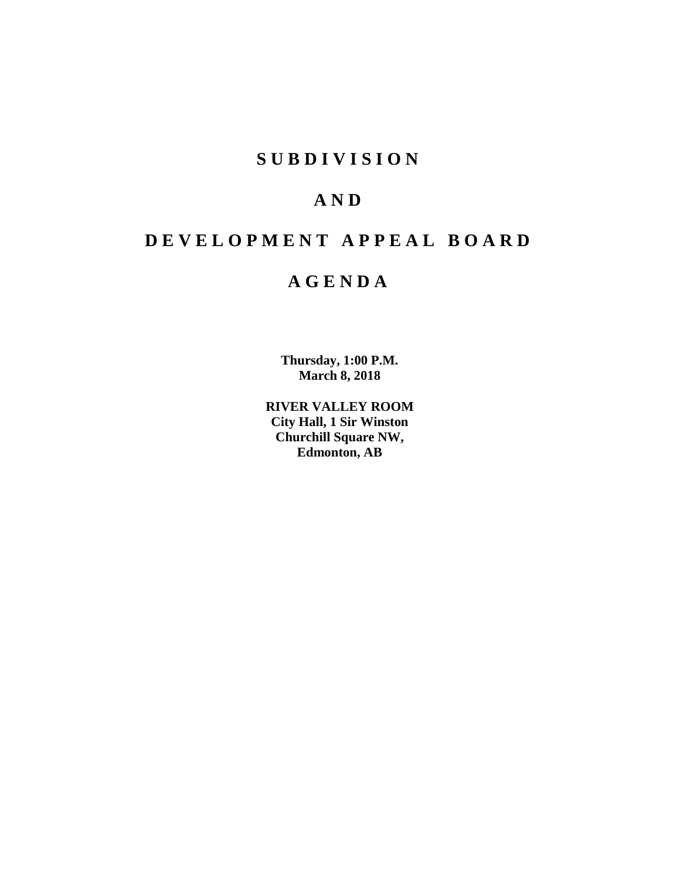# **S U B D I V I S I O N**

# **A N D**

# **D E V E L O P M E N T A P P E A L B O A R D**

# **A G E N D A**

**Thursday, 1:00 P.M. March 8, 2018**

**RIVER VALLEY ROOM City Hall, 1 Sir Winston Churchill Square NW, Edmonton, AB**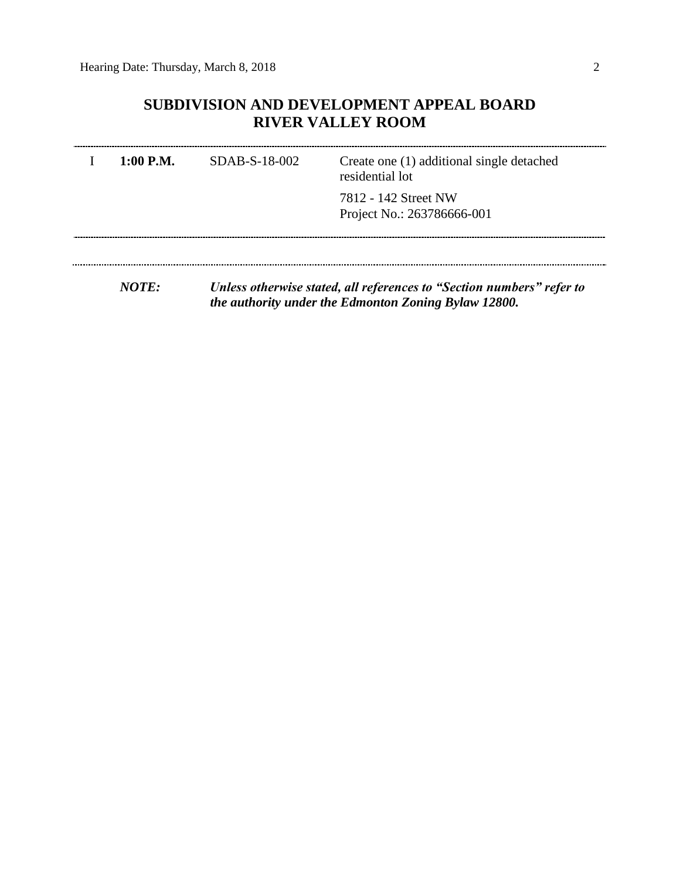# **SUBDIVISION AND DEVELOPMENT APPEAL BOARD RIVER VALLEY ROOM**

| $1:00$ P.M. | SDAB-S-18-002                                                         | Create one (1) additional single detached<br>residential lot |
|-------------|-----------------------------------------------------------------------|--------------------------------------------------------------|
|             |                                                                       | 7812 - 142 Street NW<br>Project No.: 263786666-001           |
|             |                                                                       |                                                              |
| NOTE:       | Unless otherwise stated, all references to "Section numbers" refer to |                                                              |

*the authority under the Edmonton Zoning Bylaw 12800.*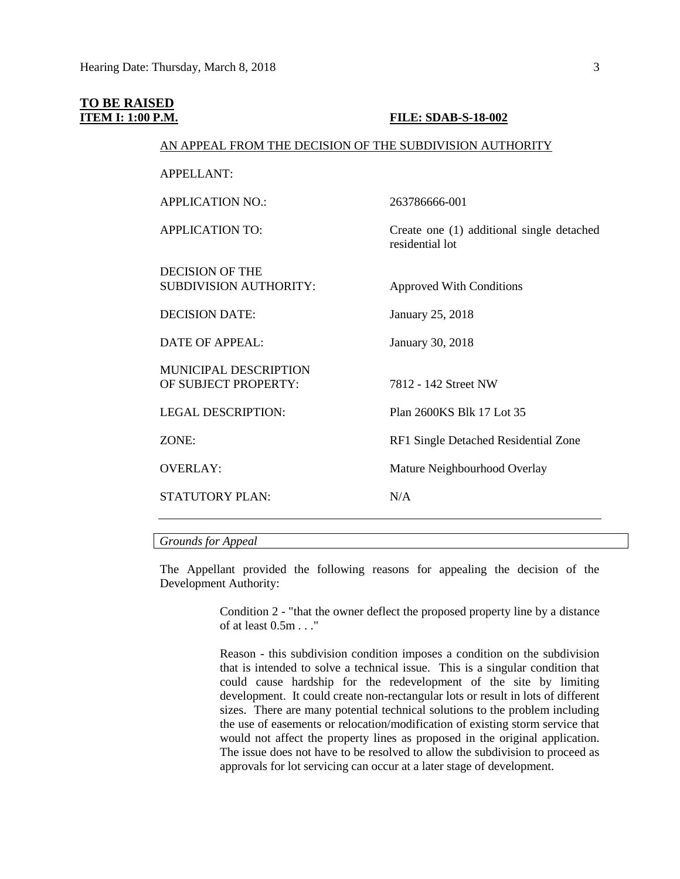### **TO BE RAISED ITEM I: 1:00 P.M. FILE: SDAB-S-18-002**

#### AN APPEAL FROM THE DECISION OF THE SUBDIVISION AUTHORITY

APPELLANT: APPLICATION NO.: 263786666-001 APPLICATION TO: Create one (1) additional single detached residential lot DECISION OF THE SUBDIVISION AUTHORITY: Approved With Conditions DECISION DATE: January 25, 2018 DATE OF APPEAL: January 30, 2018 MUNICIPAL DESCRIPTION OF SUBJECT PROPERTY: 7812 - 142 Street NW LEGAL DESCRIPTION: Plan 2600KS Blk 17 Lot 35 ZONE: RF1 Single Detached Residential Zone OVERLAY: Mature Neighbourhood Overlay STATUTORY PLAN: N/A

#### *Grounds for Appeal*

The Appellant provided the following reasons for appealing the decision of the Development Authority:

> Condition 2 - "that the owner deflect the proposed property line by a distance of at least 0.5m . . ."

> Reason - this subdivision condition imposes a condition on the subdivision that is intended to solve a technical issue. This is a singular condition that could cause hardship for the redevelopment of the site by limiting development. It could create non-rectangular lots or result in lots of different sizes. There are many potential technical solutions to the problem including the use of easements or relocation/modification of existing storm service that would not affect the property lines as proposed in the original application. The issue does not have to be resolved to allow the subdivision to proceed as approvals for lot servicing can occur at a later stage of development.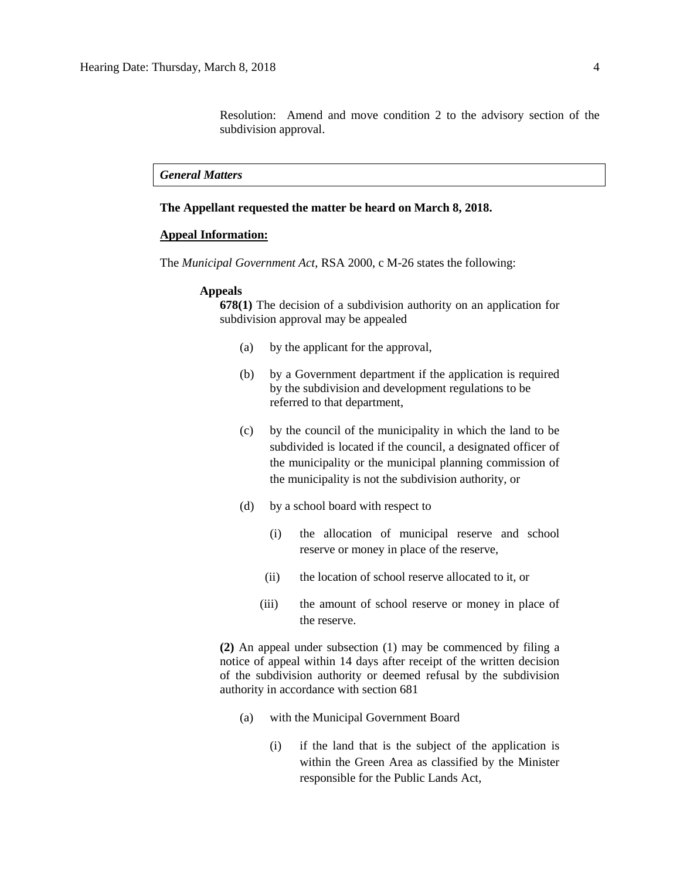Resolution: Amend and move condition 2 to the advisory section of the subdivision approval.

#### *General Matters*

### **The Appellant requested the matter be heard on March 8, 2018.**

### **Appeal Information:**

The *Municipal Government Act*, RSA 2000, c M-26 states the following:

#### **Appeals**

**678(1)** The decision of a subdivision authority on an application for subdivision approval may be appealed

- (a) by the applicant for the approval,
- (b) by a Government department if the application is required by the subdivision and development regulations to be referred to that department,
- (c) by the council of the municipality in which the land to be subdivided is located if the council, a designated officer of the municipality or the municipal planning commission of the municipality is not the subdivision authority, or
- (d) by a school board with respect to
	- (i) the allocation of municipal reserve and school reserve or money in place of the reserve,
	- (ii) the location of school reserve allocated to it, or
	- (iii) the amount of school reserve or money in place of the reserve.

**(2)** An appeal under subsection (1) may be commenced by filing a notice of appeal within 14 days after receipt of the written decision of the subdivision authority or deemed refusal by the subdivision authority in accordance with section 681

- (a) with the Municipal Government Board
	- (i) if the land that is the subject of the application is within the Green Area as classified by the Minister responsible for the Public Lands Act,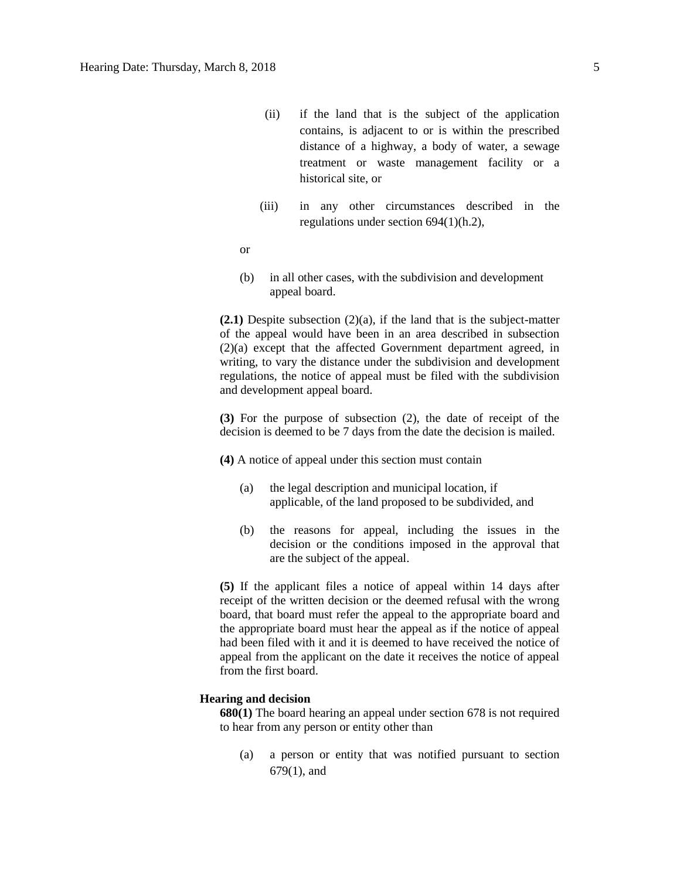- (ii) if the land that is the subject of the application contains, is adjacent to or is within the prescribed distance of a highway, a body of water, a sewage treatment or waste management facility or a historical site, or
- (iii) in any other circumstances described in the regulations under section 694(1)(h.2),
- or
- (b) in all other cases, with the subdivision and development appeal board.

**(2.1)** Despite subsection (2)(a), if the land that is the subject-matter of the appeal would have been in an area described in subsection (2)(a) except that the affected Government department agreed, in writing, to vary the distance under the subdivision and development regulations, the notice of appeal must be filed with the subdivision and development appeal board.

**(3)** For the purpose of subsection (2), the date of receipt of the decision is deemed to be 7 days from the date the decision is mailed.

**(4)** A notice of appeal under this section must contain

- (a) the legal description and municipal location, if applicable, of the land proposed to be subdivided, and
- (b) the reasons for appeal, including the issues in the decision or the conditions imposed in the approval that are the subject of the appeal.

**(5)** If the applicant files a notice of appeal within 14 days after receipt of the written decision or the deemed refusal with the wrong board, that board must refer the appeal to the appropriate board and the appropriate board must hear the appeal as if the notice of appeal had been filed with it and it is deemed to have received the notice of appeal from the applicant on the date it receives the notice of appeal from the first board.

#### **Hearing and decision**

**680(1)** The board hearing an appeal under section 678 is not required to hear from any person or entity other than

(a) a person or entity that was notified pursuant to section 679(1), and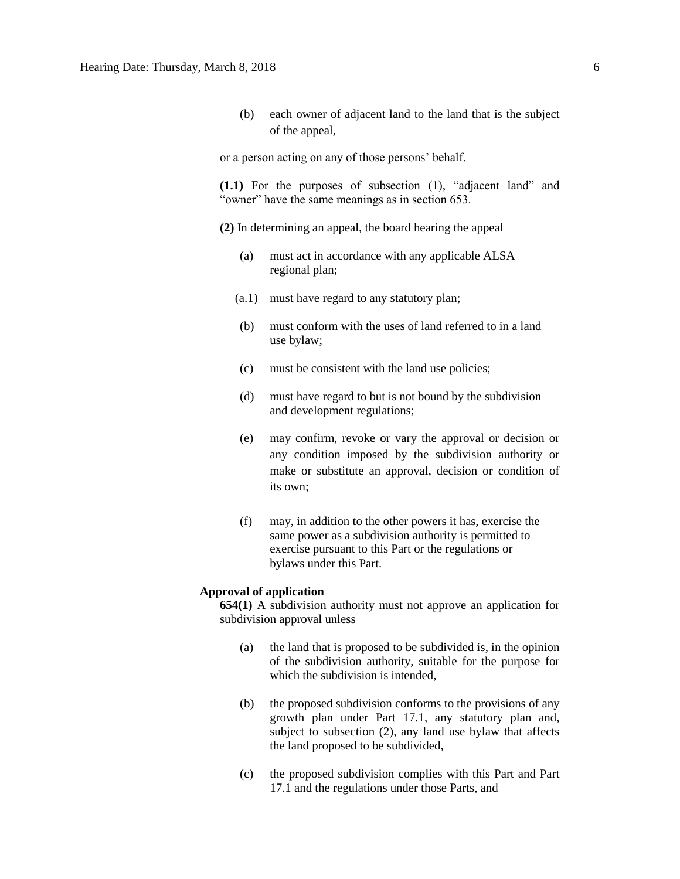(b) each owner of adjacent land to the land that is the subject of the appeal,

or a person acting on any of those persons' behalf.

**(1.1)** For the purposes of subsection (1), "adjacent land" and "owner" have the same meanings as in section 653.

**(2)** In determining an appeal, the board hearing the appeal

- (a) must act in accordance with any applicable ALSA regional plan;
- (a.1) must have regard to any statutory plan;
- (b) must conform with the uses of land referred to in a land use bylaw;
- (c) must be consistent with the land use policies;
- (d) must have regard to but is not bound by the subdivision and development regulations;
- (e) may confirm, revoke or vary the approval or decision or any condition imposed by the subdivision authority or make or substitute an approval, decision or condition of its own;
- (f) may, in addition to the other powers it has, exercise the same power as a subdivision authority is permitted to exercise pursuant to this Part or the regulations or bylaws under this Part.

### **Approval of application**

**654(1)** A subdivision authority must not approve an application for subdivision approval unless

- (a) the land that is proposed to be subdivided is, in the opinion of the subdivision authority, suitable for the purpose for which the subdivision is intended.
- (b) the proposed subdivision conforms to the provisions of any growth plan under Part 17.1, any statutory plan and, subject to subsection (2), any land use bylaw that affects the land proposed to be subdivided,
- (c) the proposed subdivision complies with this Part and Part 17.1 and the regulations under those Parts, and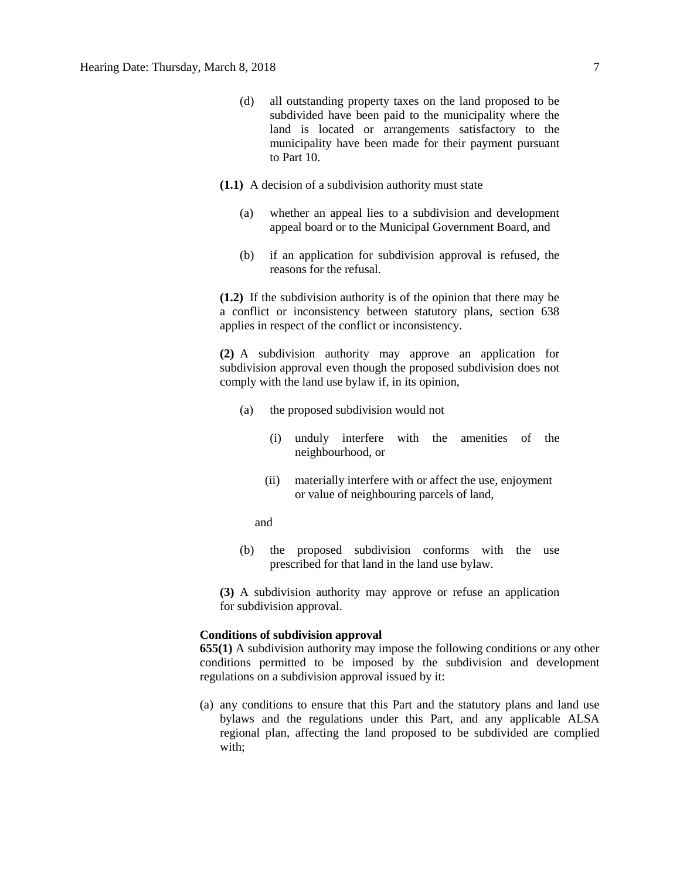- (d) all outstanding property taxes on the land proposed to be subdivided have been paid to the municipality where the land is located or arrangements satisfactory to the municipality have been made for their payment pursuant to Part 10.
- **(1.1)** A decision of a subdivision authority must state
	- (a) whether an appeal lies to a subdivision and development appeal board or to the Municipal Government Board, and
	- (b) if an application for subdivision approval is refused, the reasons for the refusal.

**(1.2)** If the subdivision authority is of the opinion that there may be a conflict or inconsistency between statutory plans, section 638 applies in respect of the conflict or inconsistency.

**(2)** A subdivision authority may approve an application for subdivision approval even though the proposed subdivision does not comply with the land use bylaw if, in its opinion,

- (a) the proposed subdivision would not
	- (i) unduly interfere with the amenities of the neighbourhood, or
	- (ii) materially interfere with or affect the use, enjoyment or value of neighbouring parcels of land,

and

(b) the proposed subdivision conforms with the use prescribed for that land in the land use bylaw.

**(3)** A subdivision authority may approve or refuse an application for subdivision approval.

## **Conditions of subdivision approval**

**655(1)** A subdivision authority may impose the following conditions or any other conditions permitted to be imposed by the subdivision and development regulations on a subdivision approval issued by it:

(a) any conditions to ensure that this Part and the statutory plans and land use bylaws and the regulations under this Part, and any applicable ALSA regional plan, affecting the land proposed to be subdivided are complied with;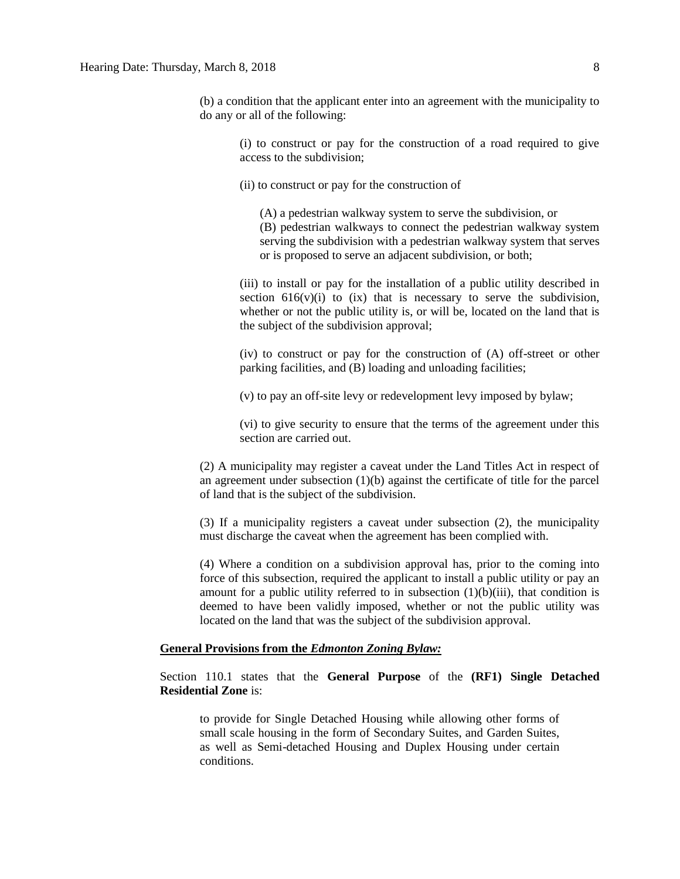(b) a condition that the applicant enter into an agreement with the municipality to do any or all of the following:

(i) to construct or pay for the construction of a road required to give access to the subdivision;

(ii) to construct or pay for the construction of

(A) a pedestrian walkway system to serve the subdivision, or (B) pedestrian walkways to connect the pedestrian walkway system serving the subdivision with a pedestrian walkway system that serves or is proposed to serve an adjacent subdivision, or both;

(iii) to install or pay for the installation of a public utility described in section  $616(v)(i)$  to  $(ix)$  that is necessary to serve the subdivision, whether or not the public utility is, or will be, located on the land that is the subject of the subdivision approval;

(iv) to construct or pay for the construction of (A) off-street or other parking facilities, and (B) loading and unloading facilities;

(v) to pay an off-site levy or redevelopment levy imposed by bylaw;

(vi) to give security to ensure that the terms of the agreement under this section are carried out.

(2) A municipality may register a caveat under the Land Titles Act in respect of an agreement under subsection  $(1)(b)$  against the certificate of title for the parcel of land that is the subject of the subdivision.

(3) If a municipality registers a caveat under subsection (2), the municipality must discharge the caveat when the agreement has been complied with.

(4) Where a condition on a subdivision approval has, prior to the coming into force of this subsection, required the applicant to install a public utility or pay an amount for a public utility referred to in subsection  $(1)(b)(iii)$ , that condition is deemed to have been validly imposed, whether or not the public utility was located on the land that was the subject of the subdivision approval.

### **General Provisions from the** *Edmonton Zoning Bylaw:*

Section 110.1 states that the **General Purpose** of the **(RF1) Single Detached Residential Zone** is:

to provide for Single Detached Housing while allowing other forms of small scale housing in the form of Secondary Suites, and Garden Suites, as well as Semi-detached Housing and Duplex Housing under certain conditions.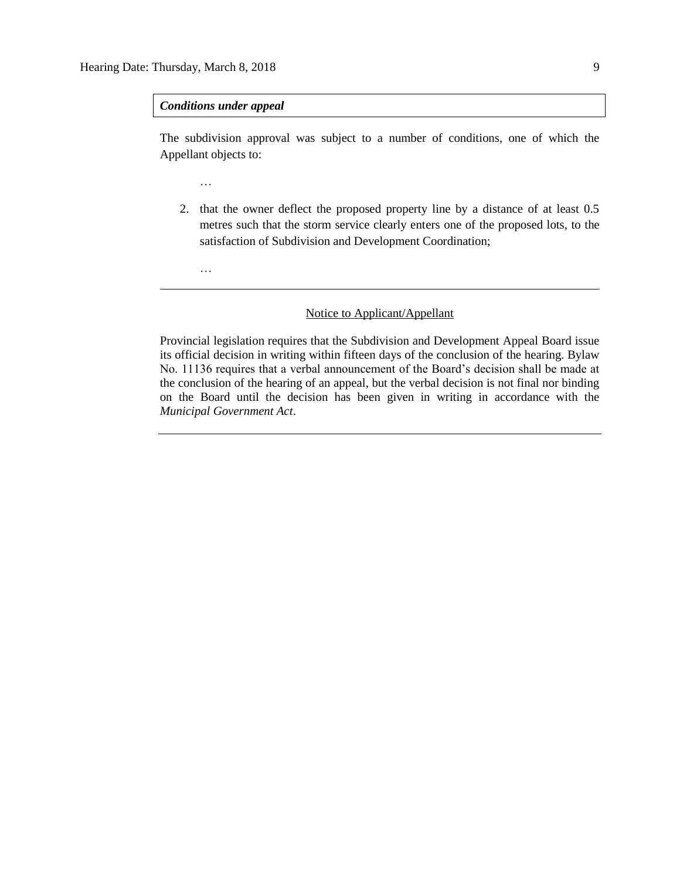*Conditions under appeal*

…

…

The subdivision approval was subject to a number of conditions, one of which the Appellant objects to:

2. that the owner deflect the proposed property line by a distance of at least 0.5 metres such that the storm service clearly enters one of the proposed lots, to the satisfaction of Subdivision and Development Coordination;

### Notice to Applicant/Appellant

Provincial legislation requires that the Subdivision and Development Appeal Board issue its official decision in writing within fifteen days of the conclusion of the hearing. Bylaw No. 11136 requires that a verbal announcement of the Board's decision shall be made at the conclusion of the hearing of an appeal, but the verbal decision is not final nor binding on the Board until the decision has been given in writing in accordance with the *Municipal Government Act*.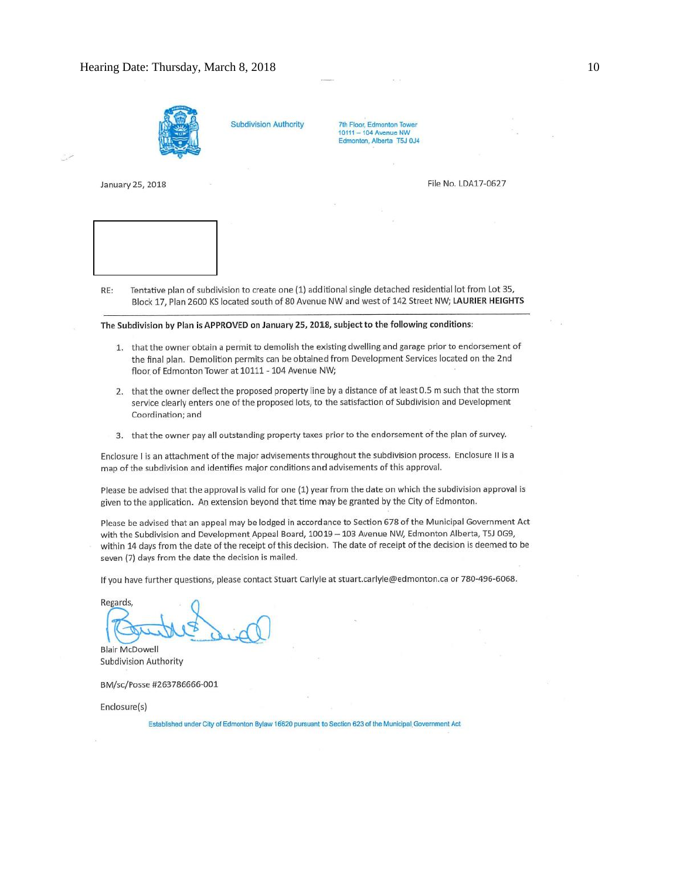

**Subdivision Authority** 

7th Floor, Edmonton Tower 10111 - 104 Avenue NW Edmonton, Alberta T5J 0J4

January 25, 2018

File No. LDA17-0627



Tentative plan of subdivision to create one (1) additional single detached residential lot from Lot 35, RE: Block 17, Plan 2600 KS located south of 80 Avenue NW and west of 142 Street NW; LAURIER HEIGHTS

The Subdivision by Plan is APPROVED on January 25, 2018, subject to the following conditions:

- 1. that the owner obtain a permit to demolish the existing dwelling and garage prior to endorsement of the final plan. Demolition permits can be obtained from Development Services located on the 2nd floor of Edmonton Tower at 10111 - 104 Avenue NW;
- 2. that the owner deflect the proposed property line by a distance of at least 0.5 m such that the storm service clearly enters one of the proposed lots, to the satisfaction of Subdivision and Development Coordination; and
- 3. that the owner pay all outstanding property taxes prior to the endorsement of the plan of survey.

Enclosure I is an attachment of the major advisements throughout the subdivision process. Enclosure II is a map of the subdivision and identifies major conditions and advisements of this approval.

Please be advised that the approval is valid for one (1) year from the date on which the subdivision approval is given to the application. An extension beyond that time may be granted by the City of Edmonton.

Please be advised that an appeal may be lodged in accordance to Section 678 of the Municipal Government Act with the Subdivision and Development Appeal Board, 10019 - 103 Avenue NW, Edmonton Alberta, T5J 0G9, within 14 days from the date of the receipt of this decision. The date of receipt of the decision is deemed to be seven (7) days from the date the decision is mailed.

If you have further questions, please contact Stuart Carlyle at stuart.carlyle@edmonton.ca or 780-496-6068.

Regards,

**Blair McDowell Subdivision Authority** 

BM/sc/Posse #263786666-001

Enclosure(s)

Established under City of Edmonton Bylaw 16620 pursuant to Section 623 of the Municipal Government Act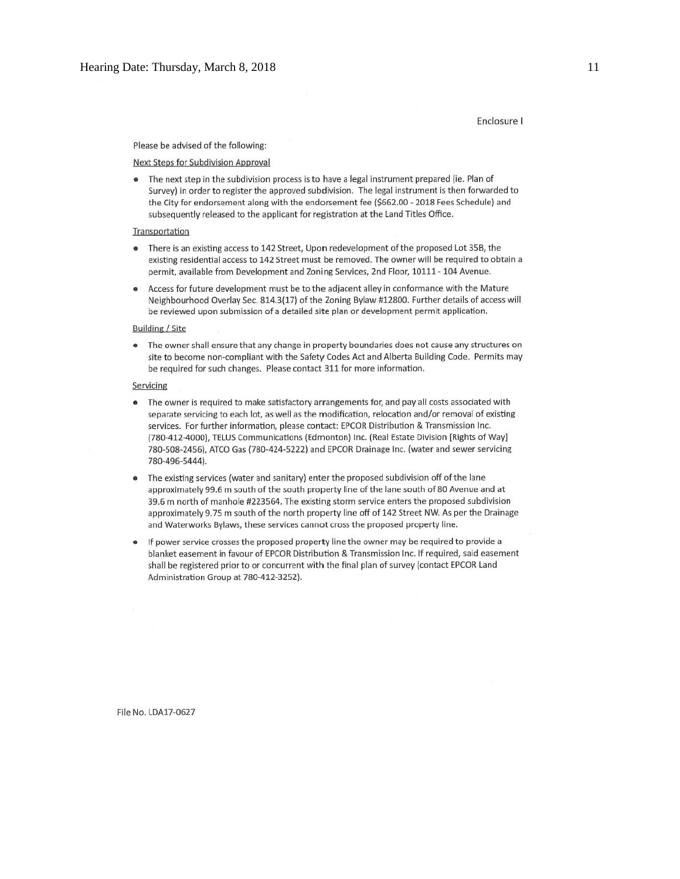#### Enclosure I

#### Please be advised of the following:

#### **Next Steps for Subdivision Approval**

The next step in the subdivision process is to have a legal instrument prepared (ie. Plan of  $\bullet$ Survey) in order to register the approved subdivision. The legal instrument is then forwarded to the City for endorsement along with the endorsement fee (\$662.00 - 2018 Fees Schedule) and subsequently released to the applicant for registration at the Land Titles Office.

#### Transportation

- $\bullet$ There is an existing access to 142 Street, Upon redevelopment of the proposed Lot 35B, the existing residential access to 142 Street must be removed. The owner will be required to obtain a permit, available from Development and Zoning Services, 2nd Floor, 10111 - 104 Avenue.
- Access for future development must be to the adjacent alley in conformance with the Mature  $\bullet$ Neighbourhood Overlay Sec. 814.3(17) of the Zoning Bylaw #12800. Further details of access will be reviewed upon submission of a detailed site plan or development permit application.

#### **Building / Site**

The owner shall ensure that any change in property boundaries does not cause any structures on site to become non-compliant with the Safety Codes Act and Alberta Building Code. Permits may be required for such changes. Please contact 311 for more information.

#### Servicing

- The owner is required to make satisfactory arrangements for, and pay all costs associated with  $\bullet$ separate servicing to each lot, as well as the modification, relocation and/or removal of existing services. For further information, please contact: EPCOR Distribution & Transmission Inc. (780-412-4000), TELUS Communications (Edmonton) Inc. (Real Estate Division [Rights of Way] 780-508-2456), ATCO Gas (780-424-5222) and EPCOR Drainage Inc. (water and sewer servicing 780-496-5444).
- The existing services (water and sanitary) enter the proposed subdivision off of the lane approximately 99.6 m south of the south property line of the lane south of 80 Avenue and at 39.6 m north of manhole #223564. The existing storm service enters the proposed subdivision approximately 9.75 m south of the north property line off of 142 Street NW. As per the Drainage and Waterworks Bylaws, these services cannot cross the proposed property line.
- If power service crosses the proposed property line the owner may be required to provide a blanket easement in favour of EPCOR Distribution & Transmission Inc. If required, said easement shall be registered prior to or concurrent with the final plan of survey (contact EPCOR Land Administration Group at 780-412-3252).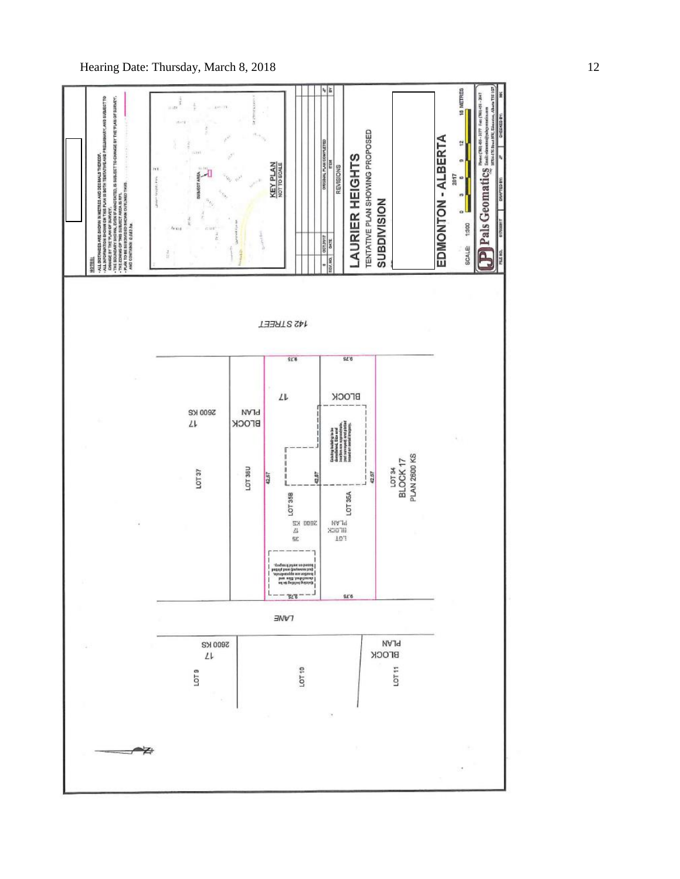